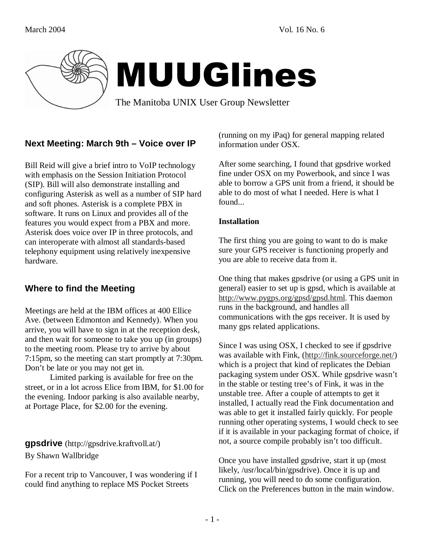

# MUUGlines

The Manitoba UNIX User Group Newsletter

## **Next Meeting: March 9th – Voice over IP**

Bill Reid will give a brief intro to VoIP technology with emphasis on the Session Initiation Protocol (SIP). Bill will also demonstrate installing and configuring Asterisk as well as a number of SIP hard and soft phones. Asterisk is a complete PBX in software. It runs on Linux and provides all of the features you would expect from a PBX and more. Asterisk does voice over IP in three protocols, and can interoperate with almost all standards-based telephony equipment using relatively inexpensive hardware.

# **Where to find the Meeting**

Meetings are held at the IBM offices at 400 Ellice Ave. (between Edmonton and Kennedy). When you arrive, you will have to sign in at the reception desk, and then wait for someone to take you up (in groups) to the meeting room. Please try to arrive by about 7:15pm, so the meeting can start promptly at 7:30pm. Don't be late or you may not get in.

 Limited parking is available for free on the street, or in a lot across Elice from IBM, for \$1.00 for the evening. Indoor parking is also available nearby, at Portage Place, for \$2.00 for the evening.

**gpsdrive** (http://gpsdrive.kraftvoll.at/) By Shawn Wallbridge

For a recent trip to Vancouver, I was wondering if I could find anything to replace MS Pocket Streets

(running on my iPaq) for general mapping related information under OSX.

After some searching, I found that gpsdrive worked fine under OSX on my Powerbook, and since I was able to borrow a GPS unit from a friend, it should be able to do most of what I needed. Here is what I found...

#### **Installation**

The first thing you are going to want to do is make sure your GPS receiver is functioning properly and you are able to receive data from it.

One thing that makes gpsdrive (or using a GPS unit in general) easier to set up is gpsd, which is available at http://www.pygps.org/gpsd/gpsd.html. This daemon runs in the background, and handles all communications with the gps receiver. It is used by many gps related applications.

Since I was using OSX, I checked to see if gpsdrive was available with Fink, (http://fink.sourceforge.net/) which is a project that kind of replicates the Debian packaging system under OSX. While gpsdrive wasn't in the stable or testing tree's of Fink, it was in the unstable tree. After a couple of attempts to get it installed, I actually read the Fink documentation and was able to get it installed fairly quickly. For people running other operating systems, I would check to see if it is available in your packaging format of choice, if not, a source compile probably isn't too difficult.

Once you have installed gpsdrive, start it up (most likely, /usr/local/bin/gpsdrive). Once it is up and running, you will need to do some configuration. Click on the Preferences button in the main window.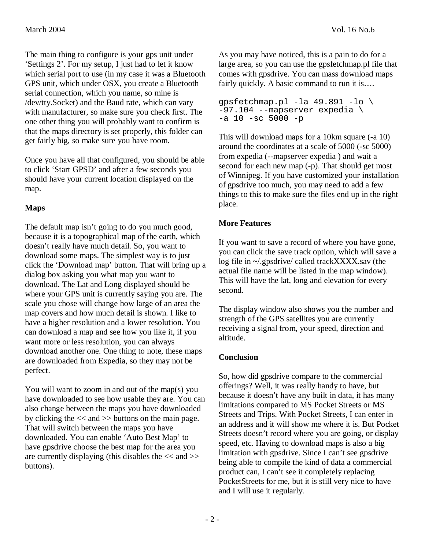The main thing to configure is your gps unit under 'Settings 2'. For my setup, I just had to let it know which serial port to use (in my case it was a Bluetooth GPS unit, which under OSX, you create a Bluetooth serial connection, which you name, so mine is /dev/tty.Socket) and the Baud rate, which can vary with manufacturer, so make sure you check first. The one other thing you will probably want to confirm is that the maps directory is set properly, this folder can get fairly big, so make sure you have room.

Once you have all that configured, you should be able to click 'Start GPSD' and after a few seconds you should have your current location displayed on the map.

#### **Maps**

The default map isn't going to do you much good, because it is a topographical map of the earth, which doesn't really have much detail. So, you want to download some maps. The simplest way is to just click the 'Download map' button. That will bring up a dialog box asking you what map you want to download. The Lat and Long displayed should be where your GPS unit is currently saying you are. The scale you chose will change how large of an area the map covers and how much detail is shown. I like to have a higher resolution and a lower resolution. You can download a map and see how you like it, if you want more or less resolution, you can always download another one. One thing to note, these maps are downloaded from Expedia, so they may not be perfect.

You will want to zoom in and out of the map(s) you have downloaded to see how usable they are. You can also change between the maps you have downloaded by clicking the << and >> buttons on the main page. That will switch between the maps you have downloaded. You can enable 'Auto Best Map' to have gpsdrive choose the best map for the area you are currently displaying (this disables the  $<<$  and  $>>$ buttons).

As you may have noticed, this is a pain to do for a large area, so you can use the gpsfetchmap.pl file that comes with gpsdrive. You can mass download maps fairly quickly. A basic command to run it is....

```
gpsfetchmap.pl -la 49.891 -lo \ 
-97.104 --mapserver expedia \ 
-a 10 -sc 5000 -p
```
This will download maps for a 10km square (-a 10) around the coordinates at a scale of 5000 (-sc 5000) from expedia (--mapserver expedia ) and wait a second for each new map (-p). That should get most of Winnipeg. If you have customized your installation of gpsdrive too much, you may need to add a few things to this to make sure the files end up in the right place.

#### **More Features**

If you want to save a record of where you have gone, you can click the save track option, which will save a log file in ~/.gpsdrive/ called trackXXXX.sav (the actual file name will be listed in the map window). This will have the lat, long and elevation for every second.

The display window also shows you the number and strength of the GPS satellites you are currently receiving a signal from, your speed, direction and altitude.

#### **Conclusion**

So, how did gpsdrive compare to the commercial offerings? Well, it was really handy to have, but because it doesn't have any built in data, it has many limitations compared to MS Pocket Streets or MS Streets and Trips. With Pocket Streets, I can enter in an address and it will show me where it is. But Pocket Streets doesn't record where you are going, or display speed, etc. Having to download maps is also a big limitation with gpsdrive. Since I can't see gpsdrive being able to compile the kind of data a commercial product can, I can't see it completely replacing PocketStreets for me, but it is still very nice to have and I will use it regularly.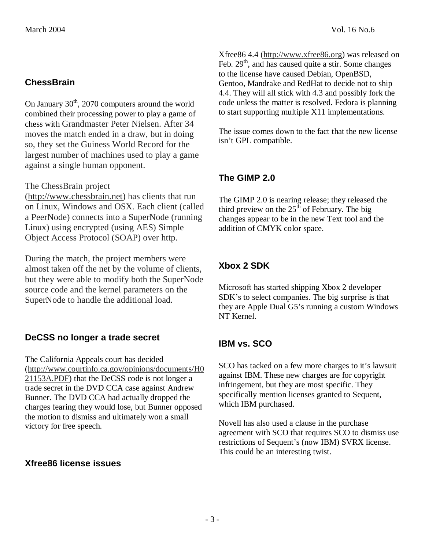### **ChessBrain**

On January  $30<sup>th</sup>$ , 2070 computers around the world combined their processing power to play a game of chess with Grandmaster Peter Nielsen. After 34 moves the match ended in a draw, but in doing so, they set the Guiness World Record for the largest number of machines used to play a game against a single human opponent.

#### The ChessBrain project

(http://www.chessbrain.net) has clients that run on Linux, Windows and OSX. Each client (called a PeerNode) connects into a SuperNode (running Linux) using encrypted (using AES) Simple Object Access Protocol (SOAP) over http.

During the match, the project members were almost taken off the net by the volume of clients, but they were able to modify both the SuperNode source code and the kernel parameters on the SuperNode to handle the additional load.

#### **DeCSS no longer a trade secret**

The California Appeals court has decided (http://www.courtinfo.ca.gov/opinions/documents/H0 21153A.PDF) that the DeCSS code is not longer a trade secret in the DVD CCA case against Andrew Bunner. The DVD CCA had actually dropped the charges fearing they would lose, but Bunner opposed the motion to dismiss and ultimately won a small victory for free speech.

#### **Xfree86 license issues**

Xfree86 4.4 (http://www.xfree86.org) was released on Feb.  $29<sup>th</sup>$ , and has caused quite a stir. Some changes to the license have caused Debian, OpenBSD, Gentoo, Mandrake and RedHat to decide not to ship 4.4. They will all stick with 4.3 and possibly fork the code unless the matter is resolved. Fedora is planning to start supporting multiple X11 implementations.

The issue comes down to the fact that the new license isn't GPL compatible.

#### **The GIMP 2.0**

The GIMP 2.0 is nearing release; they released the third preview on the  $25<sup>th</sup>$  of February. The big changes appear to be in the new Text tool and the addition of CMYK color space.

## **Xbox 2 SDK**

Microsoft has started shipping Xbox 2 developer SDK's to select companies. The big surprise is that they are Apple Dual G5's running a custom Windows NT Kernel.

#### **IBM vs. SCO**

SCO has tacked on a few more charges to it's lawsuit against IBM. These new charges are for copyright infringement, but they are most specific. They specifically mention licenses granted to Sequent, which IBM purchased.

Novell has also used a clause in the purchase agreement with SCO that requires SCO to dismiss use restrictions of Sequent's (now IBM) SVRX license. This could be an interesting twist.